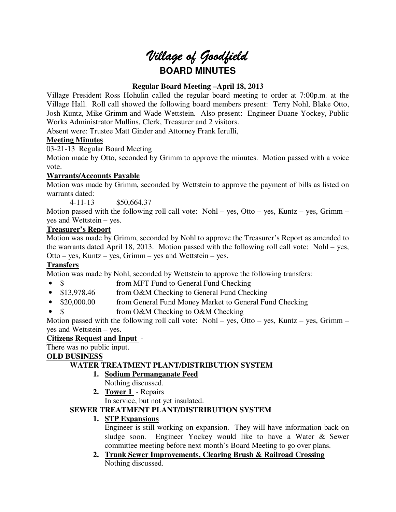# *Village of Goodfield* **BOARD MINUTES**

# **Regular Board Meeting –April 18, 2013**

Village President Ross Hohulin called the regular board meeting to order at 7:00p.m. at the Village Hall. Roll call showed the following board members present: Terry Nohl, Blake Otto, Josh Kuntz, Mike Grimm and Wade Wettstein. Also present: Engineer Duane Yockey, Public Works Administrator Mullins, Clerk, Treasurer and 2 visitors.

Absent were: Trustee Matt Ginder and Attorney Frank Ierulli,

# **Meeting Minutes**

03-21-13 Regular Board Meeting

Motion made by Otto, seconded by Grimm to approve the minutes. Motion passed with a voice vote.

# **Warrants/Accounts Payable**

Motion was made by Grimm, seconded by Wettstein to approve the payment of bills as listed on warrants dated:

4-11-13 \$50,664.37

Motion passed with the following roll call vote: Nohl – yes, Otto – yes, Kuntz – yes, Grimm – yes and Wettstein – yes.

# **Treasurer's Report**

Motion was made by Grimm, seconded by Nohl to approve the Treasurer's Report as amended to the warrants dated April 18, 2013. Motion passed with the following roll call vote: Nohl – yes, Otto – yes, Kuntz – yes, Grimm – yes and Wettstein – yes.

# **Transfers**

Motion was made by Nohl, seconded by Wettstein to approve the following transfers:

- \$ from MFT Fund to General Fund Checking
- \$13,978.46 from O&M Checking to General Fund Checking
- \$20,000.00 from General Fund Money Market to General Fund Checking
- \$ from O&M Checking to O&M Checking

Motion passed with the following roll call vote: Nohl – yes, Otto – yes, Kuntz – yes, Grimm – yes and Wettstein – yes.

# **Citizens Request and Input** -

There was no public input.

# **OLD BUSINESS**

# **WATER TREATMENT PLANT/DISTRIBUTION SYSTEM**

- **1. Sodium Permanganate Feed** 
	- Nothing discussed.
- **2. Tower 1**  Repairs In service, but not yet insulated.

# **SEWER TREATMENT PLANT/DISTRIBUTION SYSTEM**

# **1. STP Expansions**

Engineer is still working on expansion. They will have information back on sludge soon. Engineer Yockey would like to have a Water & Sewer committee meeting before next month's Board Meeting to go over plans.

**2. Trunk Sewer Improvements, Clearing Brush & Railroad Crossing**  Nothing discussed.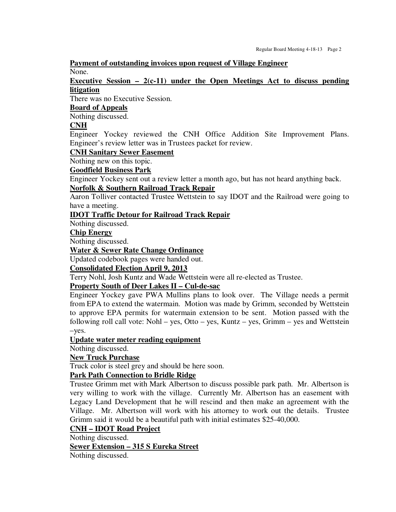# **Payment of outstanding invoices upon request of Village Engineer**

None.

**Executive Session – 2(c-11) under the Open Meetings Act to discuss pending litigation** 

There was no Executive Session.

#### **Board of Appeals**

Nothing discussed.

#### **CNH**

Engineer Yockey reviewed the CNH Office Addition Site Improvement Plans. Engineer's review letter was in Trustees packet for review.

#### **CNH Sanitary Sewer Easement**

Nothing new on this topic.

#### **Goodfield Business Park**

Engineer Yockey sent out a review letter a month ago, but has not heard anything back.

## **Norfolk & Southern Railroad Track Repair**

Aaron Tolliver contacted Trustee Wettstein to say IDOT and the Railroad were going to have a meeting.

#### **IDOT Traffic Detour for Railroad Track Repair**

Nothing discussed.

#### **Chip Energy**

Nothing discussed.

#### **Water & Sewer Rate Change Ordinance**

Updated codebook pages were handed out.

#### **Consolidated Election April 9, 2013**

Terry Nohl, Josh Kuntz and Wade Wettstein were all re-elected as Trustee.

#### **Property South of Deer Lakes II – Cul-de-sac**

Engineer Yockey gave PWA Mullins plans to look over. The Village needs a permit from EPA to extend the watermain. Motion was made by Grimm, seconded by Wettstein to approve EPA permits for watermain extension to be sent. Motion passed with the following roll call vote: Nohl – yes, Otto – yes, Kuntz – yes, Grimm – yes and Wettstein –yes.

#### **Update water meter reading equipment**

Nothing discussed.

#### **New Truck Purchase**

Truck color is steel grey and should be here soon.

#### **Park Path Connection to Bridle Ridge**

Trustee Grimm met with Mark Albertson to discuss possible park path. Mr. Albertson is very willing to work with the village. Currently Mr. Albertson has an easement with Legacy Land Development that he will rescind and then make an agreement with the Village. Mr. Albertson will work with his attorney to work out the details. Trustee Grimm said it would be a beautiful path with initial estimates \$25-40,000.

#### **CNH – IDOT Road Project**

Nothing discussed.

#### **Sewer Extension – 315 S Eureka Street**

Nothing discussed.